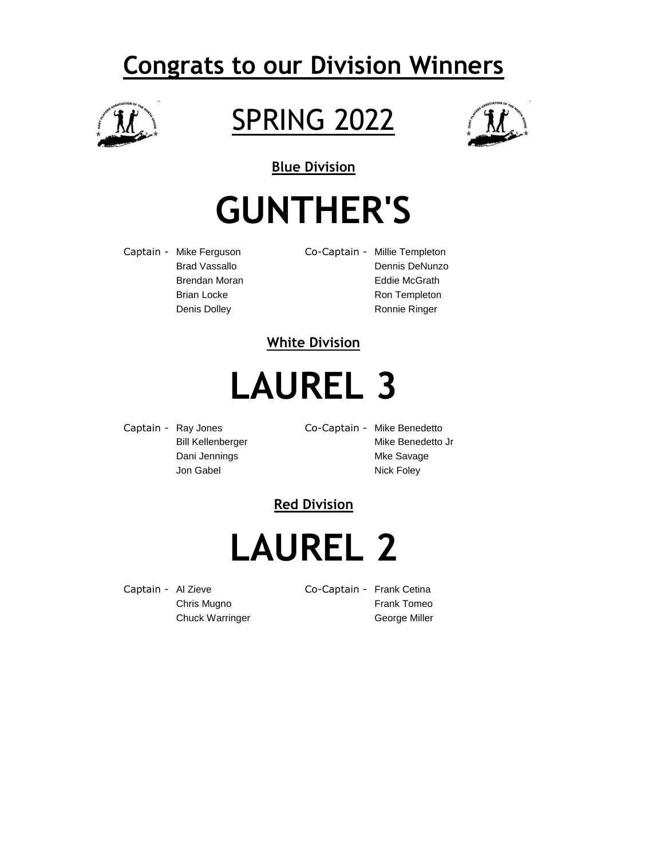### **Congrats to our Division Winners**



### SPRING 2022



**Blue Division**

# **GUNTHER'S**

Captain - Mike Ferguson Co-Captain - Millie Templeton

Brad Vassallo **Dennis DeNunzo** Brendan Moran **Eddie McGrath** Brian Locke Ron Templeton Denis Dolley **Ronnie Ringer** Ronnie Ringer

### **White Division**

# **LAUREL 3**

Captain - Ray Jones Co-Captain - Mike Benedetto Dani Jennings **Mixture Savage** Mixture Mixture Savage

Bill Kellenberger Mike Benedetto Jr Jon Gabel Nick Foley

### **Red Division**

**LAUREL 2**

Captain - Al Zieve Co-Captain - Frank Cetina

Chris Mugno **Frank Tomeo** Chuck Warringer **George Miller**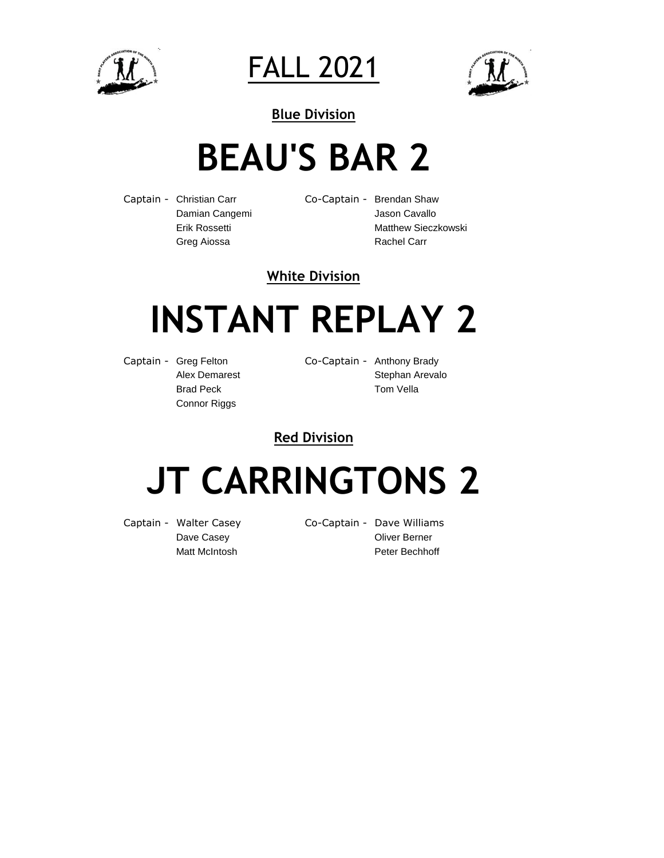

FALL 2021



### **BEAU'S BAR 2**

Captain - Christian Carr Co-Captain - Brendan Shaw Greg Aiossa **Rachel Carr** Rachel Carr

Damian Cangemi **Manusian Caracter Cavallo** Jason Cavallo Erik Rossetti **Matthew Sieczkowski** 

#### **White Division**

# **INSTANT REPLAY 2**

Captain - Greg Felton Co-Captain - Anthony Brady Connor Riggs

Alex Demarest **Stephan Arevalo** Brad Peck Tom Vella

**Red Division**

# **JT CARRINGTONS 2**

Captain - Walter Casey Co-Captain - Dave Williams Dave Casey **Dave Casey Oliver Berner** Matt McIntosh **Peter Bechhoff**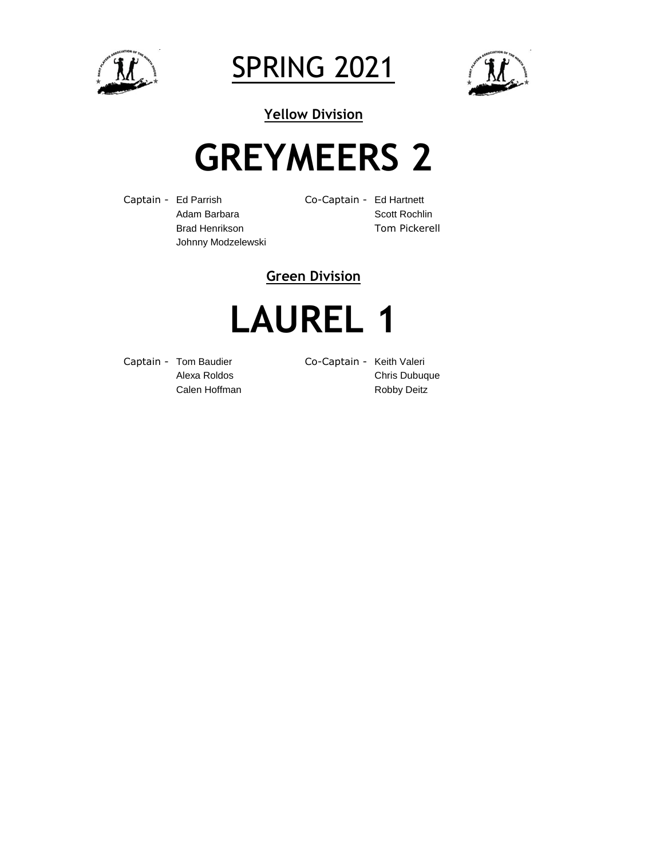

SPRING 2021



**Yellow Division**

# **GREYMEERS 2**

Captain - Ed Parrish Co-Captain - Ed Hartnett Johnny Modzelewski

Adam Barbara **Scott Rochlin** Brad Henrikson Tom Pickerell

### **Green Division**

# **LAUREL 1**

Captain - Tom Baudier Co-Captain - Keith Valeri

Alexa Roldos Chris Dubuque Calen Hoffman **Robby Deitz**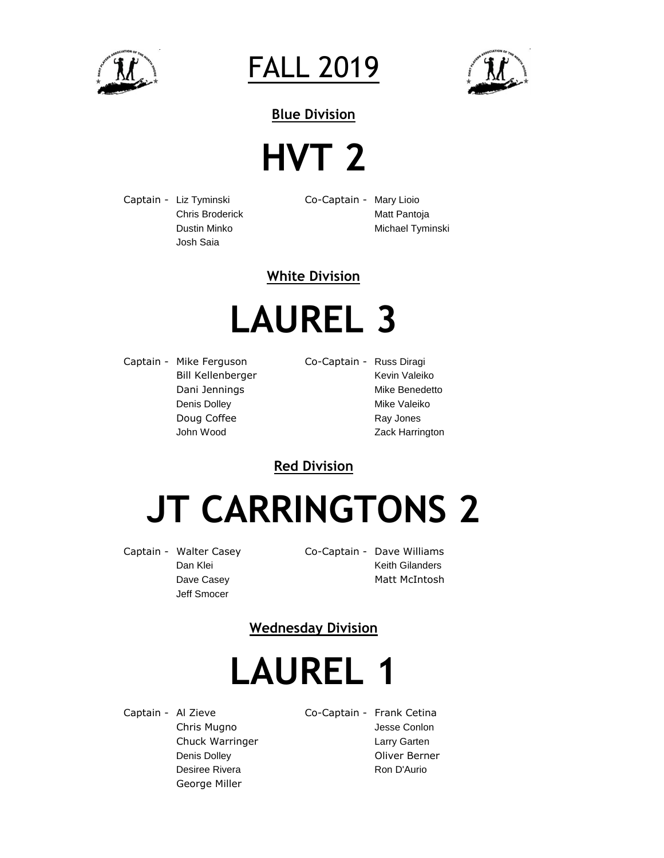

FALL 2019



### **HVT 2**

Captain - Liz Tyminski Co-Captain - Mary Lioio Josh Saia

Chris Broderick **Matt Pantoja** Dustin Minko Michael Tyminski

#### **White Division**

# **LAUREL 3**

Captain - Mike Ferguson Co-Captain - Russ Diragi Bill Kellenberger Kevin Valeiko Dani Jennings **Mike Benedetto** Denis Dolley **Mike Valeiko** Mike Valeiko Doug Coffee Ray Jones

John Wood **Zack Harrington** 

**Red Division**

# **JT CARRINGTONS 2**

Dave Casey **Matt McIntosh** Jeff Smocer

Captain - Walter Casey Co-Captain - Dave Williams Dan Klei **Keith Gilanders** 

**Wednesday Division**

## **LAUREL 1**

George Miller

Captain - Al Zieve Co-Captain - Frank Cetina Chris Mugno Jesse Conlon Chuck Warringer **Larry Garten** Denis Dolley **Denis Dolley Oliver Berner** Desiree Rivera **Ron D'Aurio** Ron D'Aurio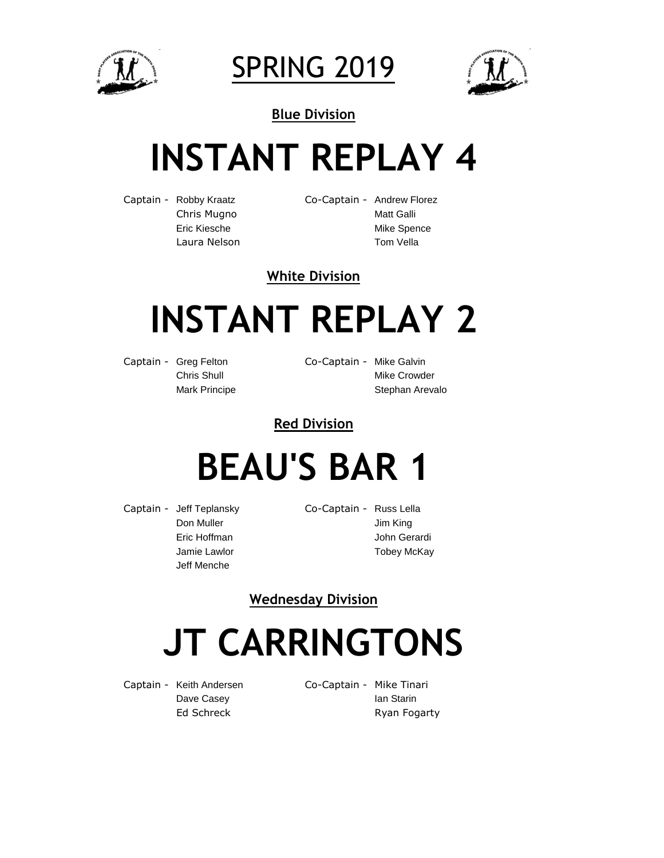

SPRING 2019



# **INSTANT REPLAY 4**

Captain - Robby Kraatz Co-Captain - Andrew Florez Chris Mugno<br>
Matt Galli Eric Kiesche Mike Spence Laura Nelson **Tom Vella** 

#### **White Division**

# **INSTANT REPLAY 2**

Captain - Greg Felton Co-Captain - Mike Galvin

Chris Shull **Mike Crowder** Mark Principe **Stephan Arevalo** 

**Red Division**

### **BEAU'S BAR 1**

Captain - Jeff Teplansky Co-Captain - Russ Lella Jeff Menche

Don Muller Jim King Eric Hoffman **Gerardi** John Gerardi Jamie Lawlor **Tobey McKay** 

**Wednesday Division**

# **JT CARRINGTONS**

Captain - Keith Andersen Co-Captain - Mike Tinari

Dave Casey **Ian Staring Casey** Ed Schreck **Ryan Fogarty**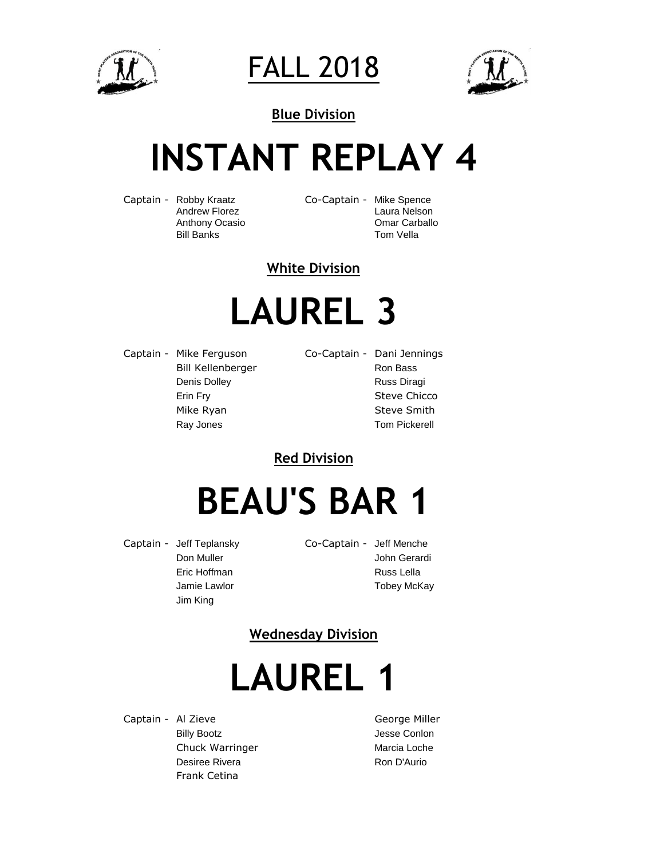

FALL 2018



# **INSTANT REPLAY 4**

Captain - Robby Kraatz Co-Captain - Mike Spence

Andrew Florez **Laura Nelson** Anthony Ocasio Omar Carballo Bill Banks Tom Vella

**White Division**

# **LAUREL 3**

Captain - Mike Ferguson Co-Captain - Dani Jennings Bill Kellenberger **Ron Bass** Denis Dolley **Russ Diragi** Erin Fry **Steve Chicco** Mike Ryan Steve Smith Ray Jones **Tom Pickerell** 

**Red Division**

## **BEAU'S BAR 1**

Captain - Jeff Teplansky Co-Captain - Jeff Menche Jim King

Don Muller **Don Muller** John Gerardi Eric Hoffman **Russ Lella** Jamie Lawlor **Tobey McKay** 

### **Wednesday Division**

# **LAUREL 1**

Captain - Al Zieve George Miller Billy Bootz **Access Contact Service Contact Access** Jesse Conlon Chuck Warringer Marcia Loche Desiree Rivera **Ron D'Aurio** Frank Cetina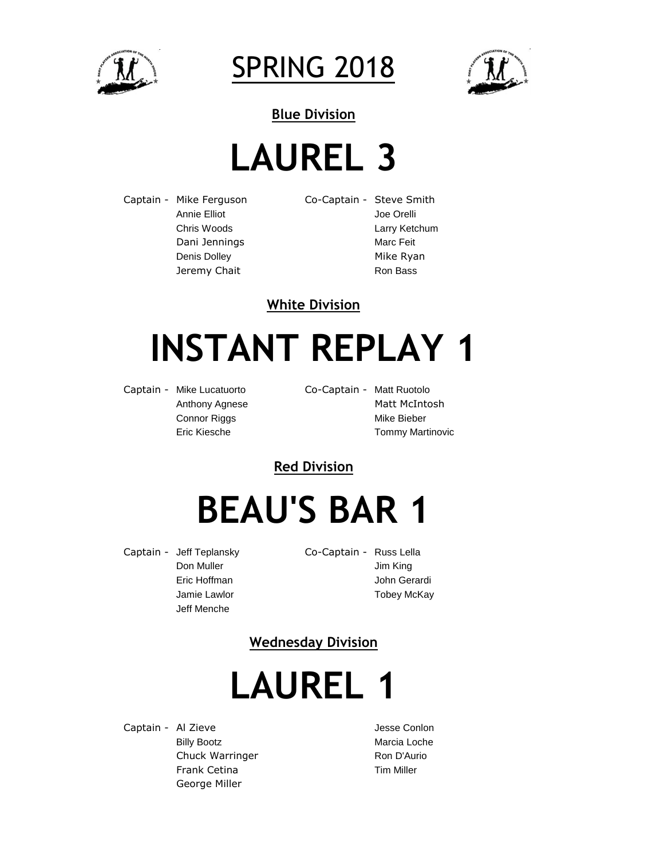

SPRING 2018



**Blue Division**

# **LAUREL 3**

Captain - Mike Ferguson Co-Captain - Steve Smith Annie Elliot **Annie Elliot** Joe Orelli Dani Jennings Marc Feit Jeremy Chait **Ron Bass** Ron Bass

Chris Woods Larry Ketchum Denis Dolley **Mike Ryan** 

#### **White Division**

# **INSTANT REPLAY 1**

Captain - Mike Lucatuorto Co-Captain - Matt Ruotolo

Anthony Agnese Matt McIntosh Connor Riggs Mike Bieber Eric Kiesche Tommy Martinovic

### **Red Division**

## **BEAU'S BAR 1**

Captain - Jeff Teplansky Co-Captain - Russ Lella Jeff Menche

Don Muller **Jim King** Eric Hoffman **Gerardi** John Gerardi Jamie Lawlor **National Community** Tobey McKay

### **Wednesday Division**

# **LAUREL 1**

Captain - Al Zieve **Gaptain - Al Zieve** Jesse Conlon Billy Bootz **Marcia Loche** Marcia Loche Chuck Warringer **Ron D'Aurio** Frank Cetina Tim Miller George Miller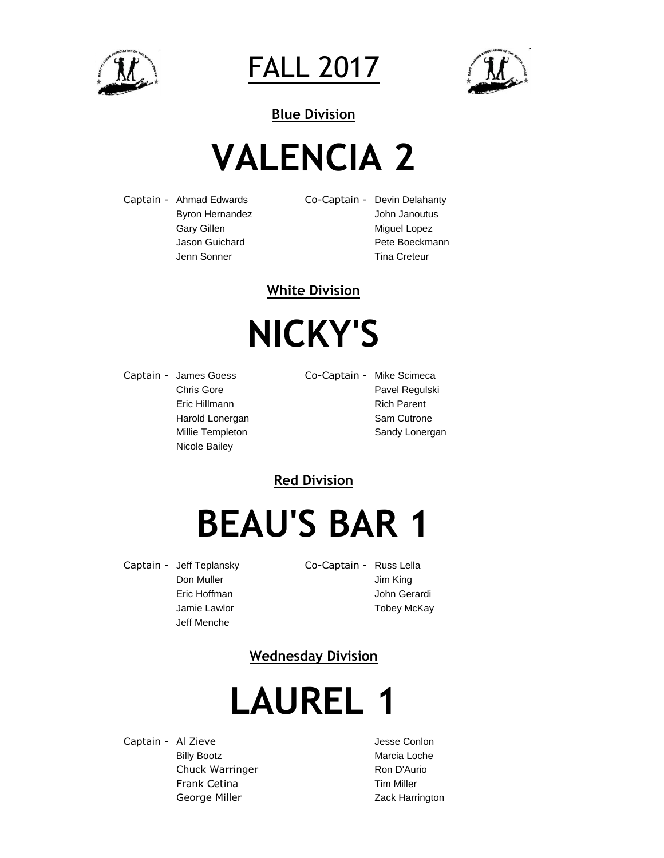

FALL 2017



# **VALENCIA 2**

Captain - Ahmad Edwards Co-Captain - Devin Delahanty Byron Hernandez **John Janoutus** Gary Gillen **Miguel Lopez** Jenn Sonner Tina Creteur

Jason Guichard **Pete Boeckmann** 

#### **White Division**

# **NICKY'S**

Captain - James Goess Co-Captain - Mike Scimeca Nicole Bailey

Chris Gore **Pavel Regulski** Eric Hillmann Rich Parent Harold Lonergan Sam Cutrone Millie Templeton Sandy Lonergan

### **Red Division**

## **BEAU'S BAR 1**

Captain - Jeff Teplansky Co-Captain - Russ Lella Jeff Menche

Don Muller **Jim King** Eric Hoffman **Gerardi** John Gerardi Jamie Lawlor **National Community** Tobey McKay

### **Wednesday Division**

# **LAUREL 1**

Captain - Al Zieve **Gaptain - Al Zieve** Jesse Conlon Billy Bootz **Marcia Loche** Marcia Loche Chuck Warringer Ron D'Aurio Frank Cetina Tim Miller George Miller **Contact Contact Contact Contact Contact Contact Contact Contact Contact Contact Contact Contact Contact Contact Contact Contact Contact Contact Contact Contact Contact Contact Contact Contact Contact Contact**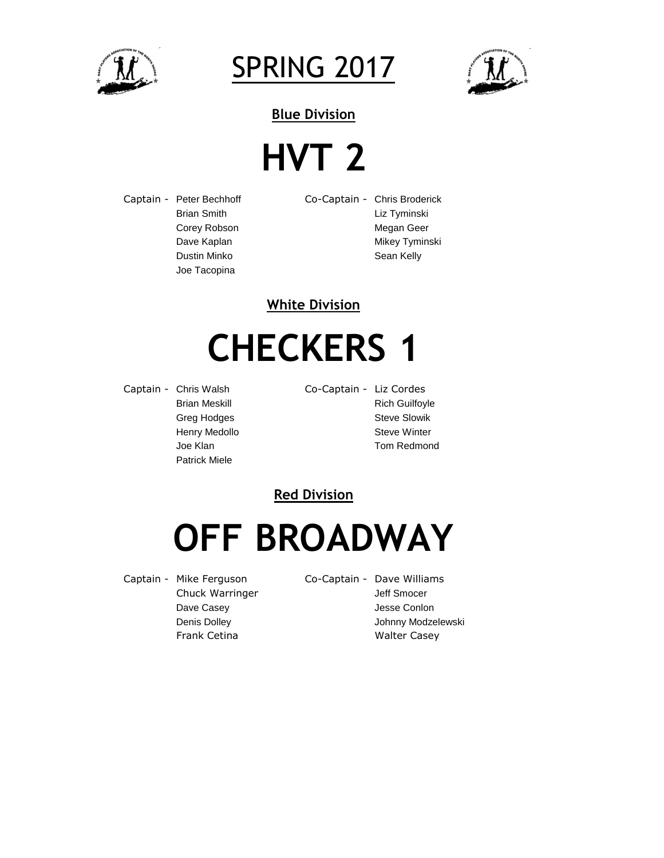

SPRING 2017



## **HVT 2**

Captain - Peter Bechhoff Co-Captain - Chris Broderick Joe Tacopina

Brian Smith Liz Tyminski Corey Robson Megan Geer Dave Kaplan Mikey Tyminski Dustin Minko **Sean Kelly** 

#### **White Division**

## **CHECKERS 1**

Captain - Chris Walsh Co-Captain - Liz Cordes Patrick Miele

Brian Meskill **Rich Guilfoyle** Rich Guilfoyle Greg Hodges Steve Slowik Henry Medollo **Steve Winter** Joe Klan **Tom Redmond** 

#### **Red Division**

### **OFF BROADWAY**

- Captain Mike Ferguson Co-Captain Dave Williams
	- Chuck Warringer **Matter Smocer** Jeff Smocer Dave Casey **Dave Casey Jesse Conlon** Denis Dolley **Denis Dolley Johnny Modzelewski** Frank Cetina **Walter Casey**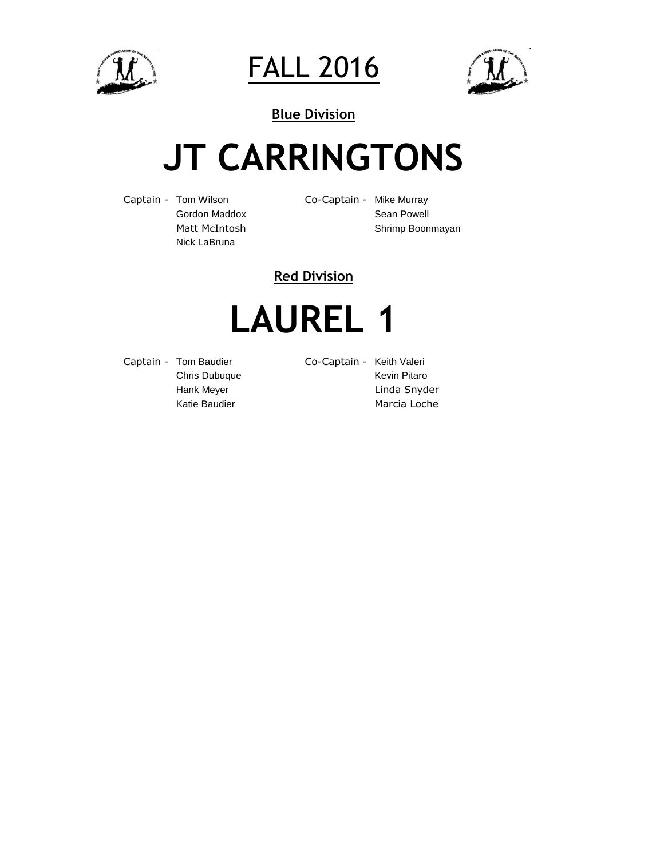

FALL 2016



## **JT CARRINGTONS**

Captain - Tom Wilson Co-Captain - Mike Murray Nick LaBruna

Gordon Maddox Sean Powell Matt McIntosh Shrimp Boonmayan

### **Red Division**

## **LAUREL 1**

Captain - Tom Baudier Co-Captain - Keith Valeri

Chris Dubuque **Kevin Pitaro** Kevin Pitaro Hank Meyer **Linda Snyder** Linda Snyder

Katie Baudier Marcia Loche